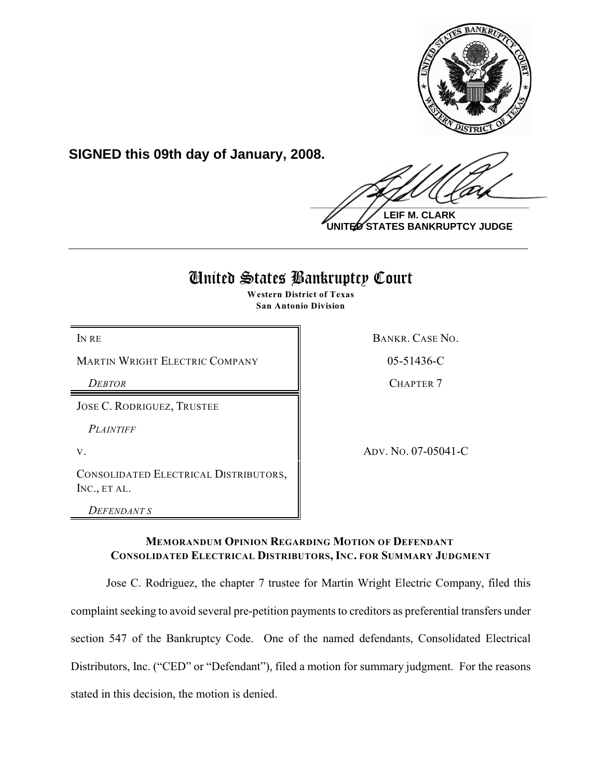

**SIGNED this 09th day of January, 2008.**

 $\frac{1}{2}$ 

**LEIF M. CLARK UNITED STATES BANKRUPTCY JUDGE**

# United States Bankruptcy Court

**\_\_\_\_\_\_\_\_\_\_\_\_\_\_\_\_\_\_\_\_\_\_\_\_\_\_\_\_\_\_\_\_\_\_\_\_\_\_\_\_\_\_\_\_\_\_\_\_\_\_\_\_\_\_\_\_\_\_\_\_**

**Western District of Texas San Antonio Division**

MARTIN WRIGHT ELECTRIC COMPANY  $\vert$  05-51436-C

JOSE C. RODRIGUEZ, TRUSTEE

*PLAINTIFF* 

CONSOLIDATED ELECTRICAL DISTRIBUTORS, INC., ET AL.

*DEFENDANT S*

IN RECONSTRUCTED TO RANKR CASE NO.

**DEBTOR** CHAPTER 7

V. ADV. No. 07-05041-C

# **MEMORANDUM OPINION REGARDING MOTION OF DEFENDANT CONSOLIDATED ELECTRICAL DISTRIBUTORS, INC. FOR SUMMARY JUDGMENT**

Jose C. Rodriguez, the chapter 7 trustee for Martin Wright Electric Company, filed this complaint seeking to avoid several pre-petition payments to creditors as preferential transfers under section 547 of the Bankruptcy Code. One of the named defendants, Consolidated Electrical Distributors, Inc. ("CED" or "Defendant"), filed a motion for summary judgment. For the reasons stated in this decision, the motion is denied.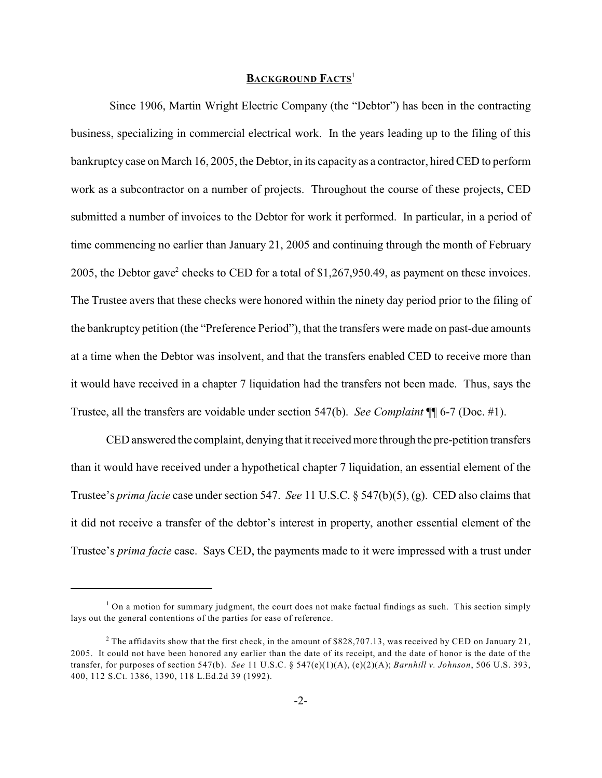## **BACKGROUND FACTS**<sup>1</sup>

 Since 1906, Martin Wright Electric Company (the "Debtor") has been in the contracting business, specializing in commercial electrical work. In the years leading up to the filing of this bankruptcy case on March 16, 2005, the Debtor, in its capacity as a contractor, hired CED to perform work as a subcontractor on a number of projects. Throughout the course of these projects, CED submitted a number of invoices to the Debtor for work it performed. In particular, in a period of time commencing no earlier than January 21, 2005 and continuing through the month of February 2005, the Debtor gave<sup>2</sup> checks to CED for a total of \$1,267,950.49, as payment on these invoices. The Trustee avers that these checks were honored within the ninety day period prior to the filing of the bankruptcy petition (the "Preference Period"), that the transfers were made on past-due amounts at a time when the Debtor was insolvent, and that the transfers enabled CED to receive more than it would have received in a chapter 7 liquidation had the transfers not been made. Thus, says the Trustee, all the transfers are voidable under section 547(b). *See Complaint* ¶¶ 6-7 (Doc. #1).

CED answered the complaint, denying that it received more through the pre-petition transfers than it would have received under a hypothetical chapter 7 liquidation, an essential element of the Trustee's *prima facie* case under section 547. *See* 11 U.S.C. § 547(b)(5), (g). CED also claims that it did not receive a transfer of the debtor's interest in property, another essential element of the Trustee's *prima facie* case. Says CED, the payments made to it were impressed with a trust under

 $1$  On a motion for summary judgment, the court does not make factual findings as such. This section simply lays out the general contentions of the parties for ease of reference.

<sup>&</sup>lt;sup>2</sup> The affidavits show that the first check, in the amount of \$828,707.13, was received by CED on January 21, 2005. It could not have been honored any earlier than the date of its receipt, and the date of honor is the date of the transfer, for purposes of section 547(b). *See* 11 U.S.C. § 547(e)(1)(A), (e)(2)(A); *Barnhill v. Johnson*, 506 U.S. 393, 400, 112 S.Ct. 1386, 1390, 118 L.Ed.2d 39 (1992).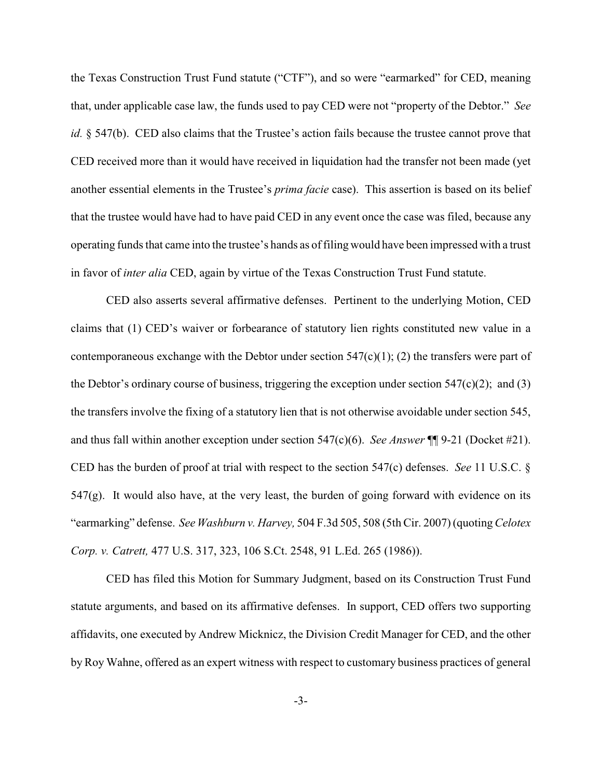the Texas Construction Trust Fund statute ("CTF"), and so were "earmarked" for CED, meaning that, under applicable case law, the funds used to pay CED were not "property of the Debtor." *See id.* § 547(b). CED also claims that the Trustee's action fails because the trustee cannot prove that CED received more than it would have received in liquidation had the transfer not been made (yet another essential elements in the Trustee's *prima facie* case). This assertion is based on its belief that the trustee would have had to have paid CED in any event once the case was filed, because any operating funds that came into the trustee's hands as offiling would have been impressed with a trust in favor of *inter alia* CED, again by virtue of the Texas Construction Trust Fund statute.

CED also asserts several affirmative defenses. Pertinent to the underlying Motion, CED claims that (1) CED's waiver or forbearance of statutory lien rights constituted new value in a contemporaneous exchange with the Debtor under section  $547(c)(1)$ ; (2) the transfers were part of the Debtor's ordinary course of business, triggering the exception under section  $547(c)(2)$ ; and (3) the transfers involve the fixing of a statutory lien that is not otherwise avoidable under section 545, and thus fall within another exception under section 547(c)(6). *See Answer* ¶¶ 9-21 (Docket #21). CED has the burden of proof at trial with respect to the section 547(c) defenses. *See* 11 U.S.C. §  $547(g)$ . It would also have, at the very least, the burden of going forward with evidence on its "earmarking" defense. *See Washburn v. Harvey,* 504 F.3d 505, 508 (5th Cir. 2007) (quoting *Celotex Corp. v. Catrett,* 477 U.S. 317, 323, 106 S.Ct. 2548, 91 L.Ed. 265 (1986)).

CED has filed this Motion for Summary Judgment, based on its Construction Trust Fund statute arguments, and based on its affirmative defenses. In support, CED offers two supporting affidavits, one executed by Andrew Micknicz, the Division Credit Manager for CED, and the other by Roy Wahne, offered as an expert witness with respect to customary business practices of general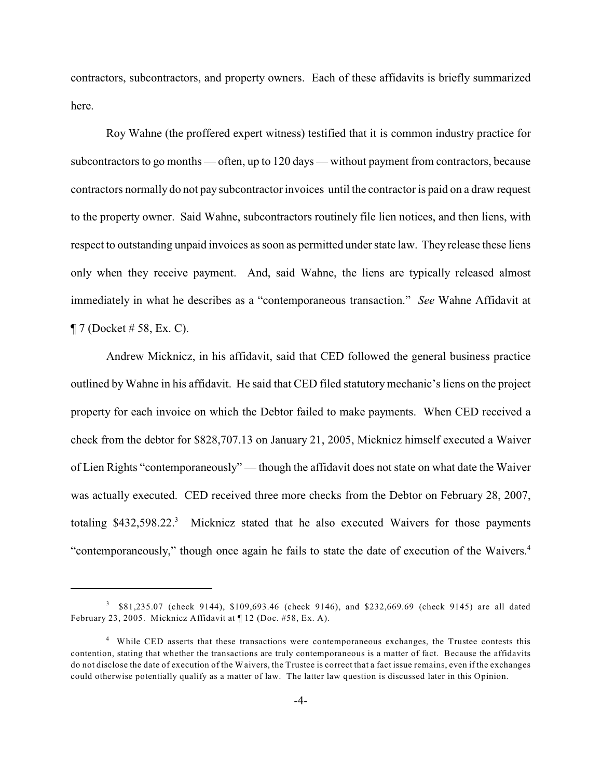contractors, subcontractors, and property owners. Each of these affidavits is briefly summarized here.

Roy Wahne (the proffered expert witness) testified that it is common industry practice for subcontractors to go months — often, up to 120 days — without payment from contractors, because contractors normally do not pay subcontractor invoices until the contractor is paid on a draw request to the property owner. Said Wahne, subcontractors routinely file lien notices, and then liens, with respect to outstanding unpaid invoices as soon as permitted under state law. They release these liens only when they receive payment. And, said Wahne, the liens are typically released almost immediately in what he describes as a "contemporaneous transaction." *See* Wahne Affidavit at  $\P$  7 (Docket # 58, Ex. C).

Andrew Micknicz, in his affidavit, said that CED followed the general business practice outlined by Wahne in his affidavit. He said that CED filed statutory mechanic's liens on the project property for each invoice on which the Debtor failed to make payments. When CED received a check from the debtor for \$828,707.13 on January 21, 2005, Micknicz himself executed a Waiver of Lien Rights "contemporaneously" — though the affidavit does not state on what date the Waiver was actually executed. CED received three more checks from the Debtor on February 28, 2007, totaling  $$432,598.22$ <sup>3</sup> Micknicz stated that he also executed Waivers for those payments "contemporaneously," though once again he fails to state the date of execution of the Waivers. 4

<sup>&</sup>lt;sup>3</sup> \$81,235.07 (check 9144), \$109,693.46 (check 9146), and \$232,669.69 (check 9145) are all dated February 23, 2005. Micknicz Affidavit at ¶ 12 (Doc. #58, Ex. A).

<sup>&</sup>lt;sup>4</sup> While CED asserts that these transactions were contemporaneous exchanges, the Trustee contests this contention, stating that whether the transactions are truly contemporaneous is a matter of fact. Because the affidavits do not disclose the date of execution of the Waivers, the Trustee is correct that a fact issue remains, even if the exchanges could otherwise potentially qualify as a matter of law. The latter law question is discussed later in this Opinion.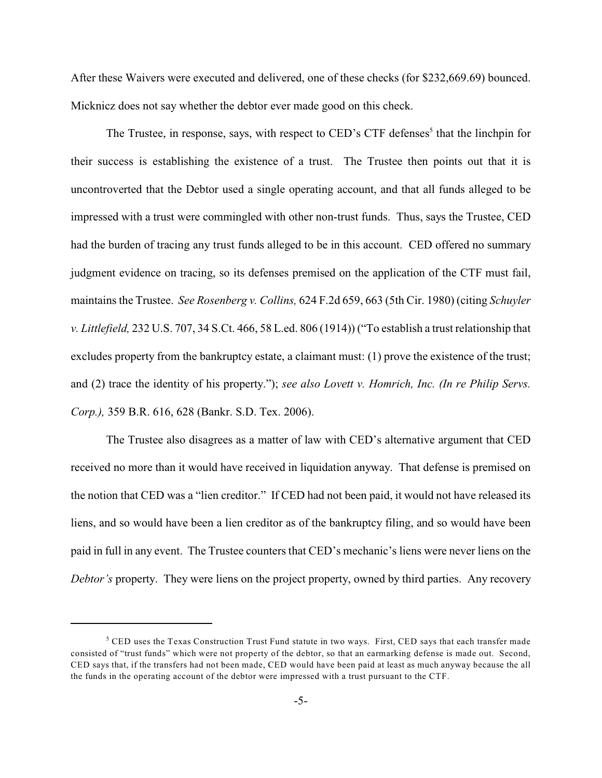After these Waivers were executed and delivered, one of these checks (for \$232,669.69) bounced. Micknicz does not say whether the debtor ever made good on this check.

The Trustee, in response, says, with respect to CED's CTF defenses<sup>5</sup> that the linchpin for their success is establishing the existence of a trust. The Trustee then points out that it is uncontroverted that the Debtor used a single operating account, and that all funds alleged to be impressed with a trust were commingled with other non-trust funds. Thus, says the Trustee, CED had the burden of tracing any trust funds alleged to be in this account. CED offered no summary judgment evidence on tracing, so its defenses premised on the application of the CTF must fail, maintains the Trustee. *See Rosenberg v. Collins,* 624 F.2d 659, 663 (5th Cir. 1980) (citing *Schuyler v. Littlefield,* 232 U.S. 707, 34 S.Ct. 466, 58 L.ed. 806 (1914)) ("To establish a trust relationship that excludes property from the bankruptcy estate, a claimant must: (1) prove the existence of the trust; and (2) trace the identity of his property."); *see also Lovett v. Homrich, Inc. (In re Philip Servs. Corp.),* 359 B.R. 616, 628 (Bankr. S.D. Tex. 2006).

The Trustee also disagrees as a matter of law with CED's alternative argument that CED received no more than it would have received in liquidation anyway. That defense is premised on the notion that CED was a "lien creditor." If CED had not been paid, it would not have released its liens, and so would have been a lien creditor as of the bankruptcy filing, and so would have been paid in full in any event. The Trustee counters that CED's mechanic's liens were never liens on the *Debtor's* property. They were liens on the project property, owned by third parties. Any recovery

 $5$  CED uses the Texas Construction Trust Fund statute in two ways. First, CED says that each transfer made consisted of "trust funds" which were not property of the debtor, so that an earmarking defense is made out. Second, CED says that, if the transfers had not been made, CED would have been paid at least as much anyway because the all the funds in the operating account of the debtor were impressed with a trust pursuant to the CTF.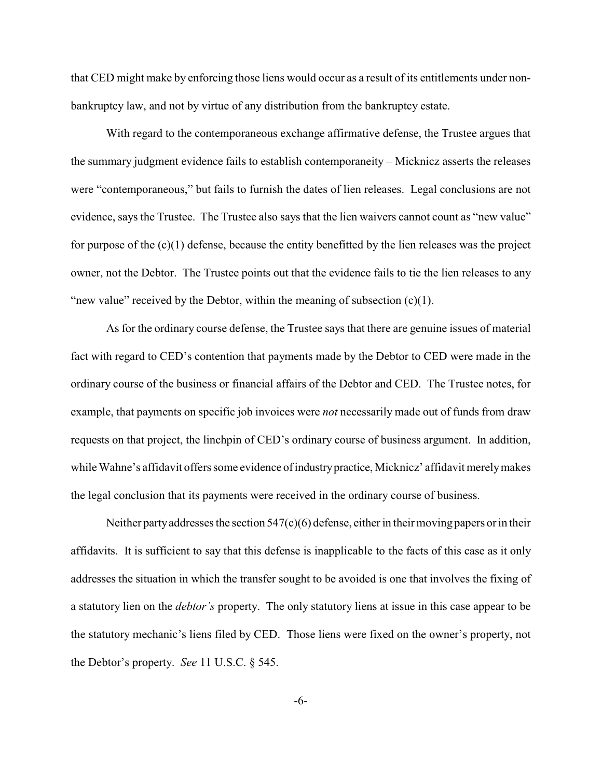that CED might make by enforcing those liens would occur as a result of its entitlements under nonbankruptcy law, and not by virtue of any distribution from the bankruptcy estate.

With regard to the contemporaneous exchange affirmative defense, the Trustee argues that the summary judgment evidence fails to establish contemporaneity – Micknicz asserts the releases were "contemporaneous," but fails to furnish the dates of lien releases. Legal conclusions are not evidence, says the Trustee. The Trustee also says that the lien waivers cannot count as "new value" for purpose of the (c)(1) defense, because the entity benefitted by the lien releases was the project owner, not the Debtor. The Trustee points out that the evidence fails to tie the lien releases to any "new value" received by the Debtor, within the meaning of subsection  $(c)(1)$ .

As for the ordinary course defense, the Trustee says that there are genuine issues of material fact with regard to CED's contention that payments made by the Debtor to CED were made in the ordinary course of the business or financial affairs of the Debtor and CED. The Trustee notes, for example, that payments on specific job invoices were *not* necessarily made out of funds from draw requests on that project, the linchpin of CED's ordinary course of business argument. In addition, while Wahne's affidavit offers some evidence of industry practice, Micknicz' affidavit merely makes the legal conclusion that its payments were received in the ordinary course of business.

Neither party addresses the section  $547(c)(6)$  defense, either in their moving papers or in their affidavits. It is sufficient to say that this defense is inapplicable to the facts of this case as it only addresses the situation in which the transfer sought to be avoided is one that involves the fixing of a statutory lien on the *debtor's* property. The only statutory liens at issue in this case appear to be the statutory mechanic's liens filed by CED. Those liens were fixed on the owner's property, not the Debtor's property. *See* 11 U.S.C. § 545.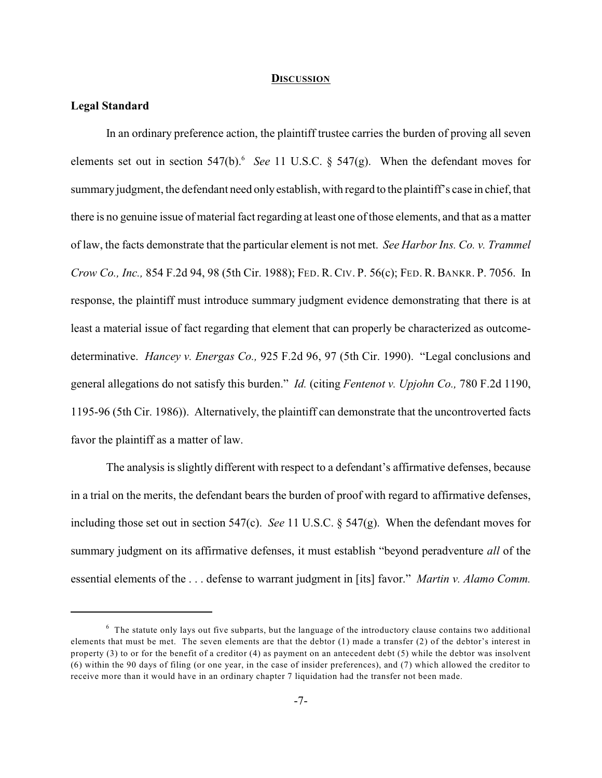#### **DISCUSSION**

## **Legal Standard**

In an ordinary preference action, the plaintiff trustee carries the burden of proving all seven elements set out in section  $547(b)$ . *See* 11 U.S.C. §  $547(g)$ . When the defendant moves for summary judgment, the defendant need only establish, with regard to the plaintiff's case in chief, that there is no genuine issue of material fact regarding at least one of those elements, and that as a matter of law, the facts demonstrate that the particular element is not met. *See Harbor Ins. Co. v. Trammel Crow Co., Inc.,* 854 F.2d 94, 98 (5th Cir. 1988); FED. R. CIV. P. 56(c); FED. R. BANKR. P. 7056. In response, the plaintiff must introduce summary judgment evidence demonstrating that there is at least a material issue of fact regarding that element that can properly be characterized as outcomedeterminative. *Hancey v. Energas Co.,* 925 F.2d 96, 97 (5th Cir. 1990). "Legal conclusions and general allegations do not satisfy this burden." *Id.* (citing *Fentenot v. Upjohn Co.,* 780 F.2d 1190, 1195-96 (5th Cir. 1986)). Alternatively, the plaintiff can demonstrate that the uncontroverted facts favor the plaintiff as a matter of law.

The analysis is slightly different with respect to a defendant's affirmative defenses, because in a trial on the merits, the defendant bears the burden of proof with regard to affirmative defenses, including those set out in section 547(c). *See* 11 U.S.C. § 547(g). When the defendant moves for summary judgment on its affirmative defenses, it must establish "beyond peradventure *all* of the essential elements of the . . . defense to warrant judgment in [its] favor." *Martin v. Alamo Comm.*

 $6\sigma$  The statute only lays out five subparts, but the language of the introductory clause contains two additional elements that must be met. The seven elements are that the debtor (1) made a transfer (2) of the debtor's interest in property (3) to or for the benefit of a creditor (4) as payment on an antecedent debt (5) while the debtor was insolvent (6) within the 90 days of filing (or one year, in the case of insider preferences), and (7) which allowed the creditor to receive more than it would have in an ordinary chapter 7 liquidation had the transfer not been made.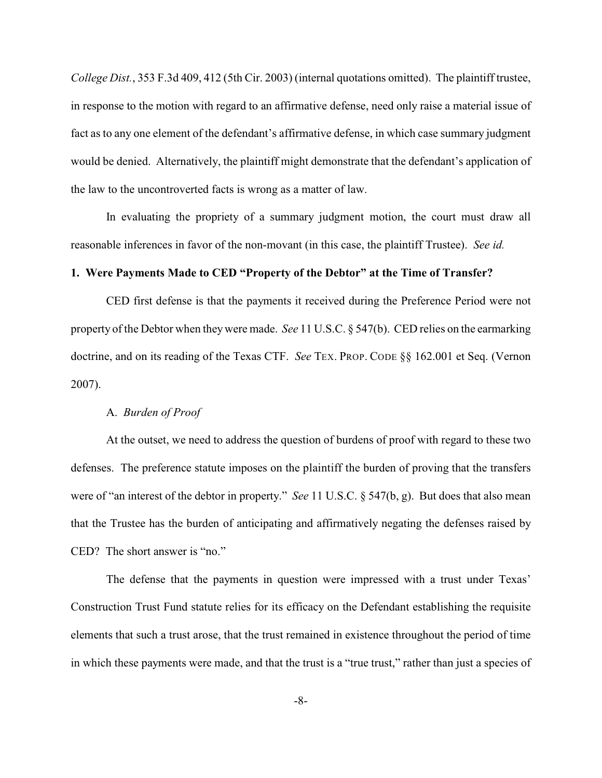*College Dist.*, 353 F.3d 409, 412 (5th Cir. 2003) (internal quotations omitted). The plaintiff trustee, in response to the motion with regard to an affirmative defense, need only raise a material issue of fact as to any one element of the defendant's affirmative defense, in which case summary judgment would be denied. Alternatively, the plaintiff might demonstrate that the defendant's application of the law to the uncontroverted facts is wrong as a matter of law.

In evaluating the propriety of a summary judgment motion, the court must draw all reasonable inferences in favor of the non-movant (in this case, the plaintiff Trustee). *See id.*

#### **1. Were Payments Made to CED "Property of the Debtor" at the Time of Transfer?**

CED first defense is that the payments it received during the Preference Period were not property of the Debtor when they were made. *See* 11 U.S.C. § 547(b). CED relies on the earmarking doctrine, and on its reading of the Texas CTF. *See* TEX. PROP. CODE §§ 162.001 et Seq. (Vernon 2007).

#### A. *Burden of Proof*

At the outset, we need to address the question of burdens of proof with regard to these two defenses. The preference statute imposes on the plaintiff the burden of proving that the transfers were of "an interest of the debtor in property." *See* 11 U.S.C. § 547(b, g). But does that also mean that the Trustee has the burden of anticipating and affirmatively negating the defenses raised by CED? The short answer is "no."

The defense that the payments in question were impressed with a trust under Texas' Construction Trust Fund statute relies for its efficacy on the Defendant establishing the requisite elements that such a trust arose, that the trust remained in existence throughout the period of time in which these payments were made, and that the trust is a "true trust," rather than just a species of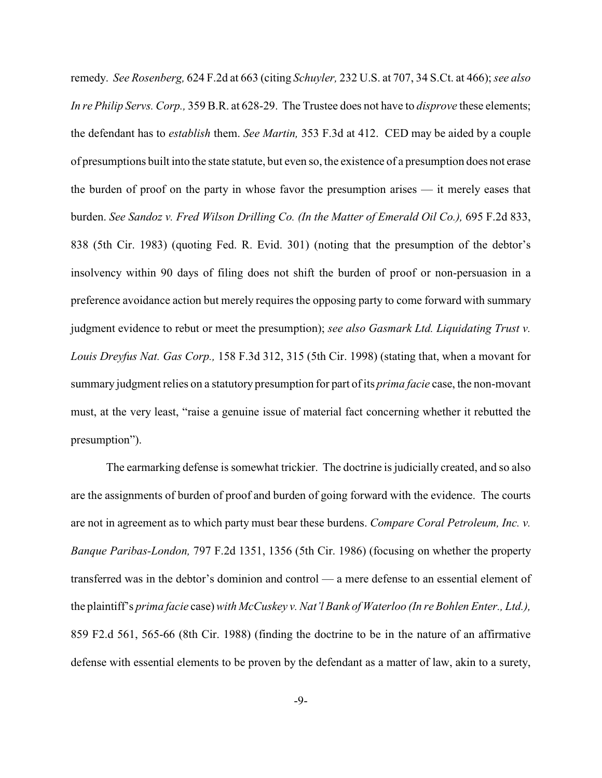remedy. *See Rosenberg,* 624 F.2d at 663 (citing *Schuyler,* 232 U.S. at 707, 34 S.Ct. at 466); *see also In re Philip Servs. Corp.,* 359 B.R. at 628-29. The Trustee does not have to *disprove* these elements; the defendant has to *establish* them. *See Martin,* 353 F.3d at 412. CED may be aided by a couple of presumptions built into the state statute, but even so, the existence of a presumption does not erase the burden of proof on the party in whose favor the presumption arises — it merely eases that burden. *See Sandoz v. Fred Wilson Drilling Co. (In the Matter of Emerald Oil Co.),* 695 F.2d 833, 838 (5th Cir. 1983) (quoting Fed. R. Evid. 301) (noting that the presumption of the debtor's insolvency within 90 days of filing does not shift the burden of proof or non-persuasion in a preference avoidance action but merely requires the opposing party to come forward with summary judgment evidence to rebut or meet the presumption); *see also Gasmark Ltd. Liquidating Trust v. Louis Dreyfus Nat. Gas Corp.,* 158 F.3d 312, 315 (5th Cir. 1998) (stating that, when a movant for summary judgment relies on a statutory presumption for part of its *prima facie* case, the non-movant must, at the very least, "raise a genuine issue of material fact concerning whether it rebutted the presumption").

The earmarking defense is somewhat trickier. The doctrine is judicially created, and so also are the assignments of burden of proof and burden of going forward with the evidence. The courts are not in agreement as to which party must bear these burdens. *Compare Coral Petroleum, Inc. v. Banque Paribas-London,* 797 F.2d 1351, 1356 (5th Cir. 1986) (focusing on whether the property transferred was in the debtor's dominion and control — a mere defense to an essential element of the plaintiff's *prima facie* case) with *McCuskey v. Nat'l Bank of Waterloo (In re Bohlen Enter., Ltd.),* 859 F2.d 561, 565-66 (8th Cir. 1988) (finding the doctrine to be in the nature of an affirmative defense with essential elements to be proven by the defendant as a matter of law, akin to a surety,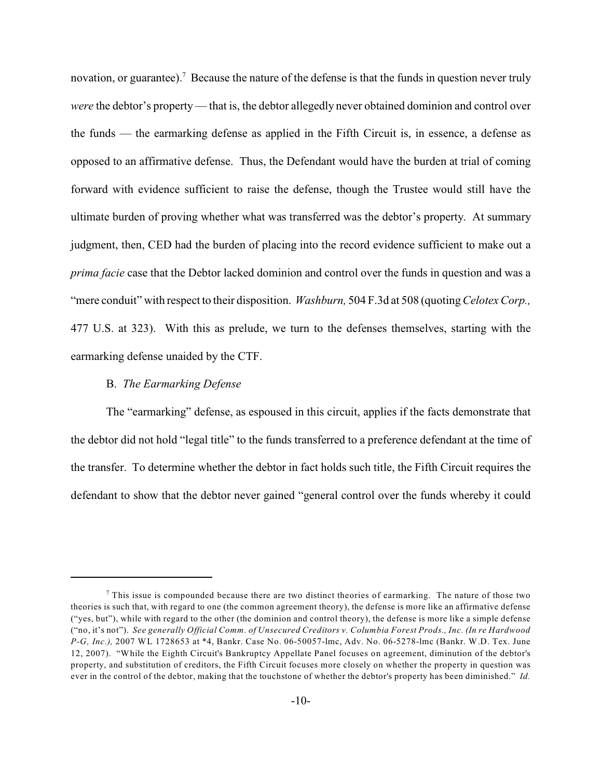novation, or guarantee).<sup>7</sup> Because the nature of the defense is that the funds in question never truly *were* the debtor's property— that is, the debtor allegedly never obtained dominion and control over the funds — the earmarking defense as applied in the Fifth Circuit is, in essence, a defense as opposed to an affirmative defense. Thus, the Defendant would have the burden at trial of coming forward with evidence sufficient to raise the defense, though the Trustee would still have the ultimate burden of proving whether what was transferred was the debtor's property. At summary judgment, then, CED had the burden of placing into the record evidence sufficient to make out a *prima facie* case that the Debtor lacked dominion and control over the funds in question and was a "mere conduit" with respect to their disposition. *Washburn,* 504 F.3d at 508 (quoting *Celotex Corp.,* 477 U.S. at 323). With this as prelude, we turn to the defenses themselves, starting with the earmarking defense unaided by the CTF.

## B. *The Earmarking Defense*

The "earmarking" defense, as espoused in this circuit, applies if the facts demonstrate that the debtor did not hold "legal title" to the funds transferred to a preference defendant at the time of the transfer. To determine whether the debtor in fact holds such title, the Fifth Circuit requires the defendant to show that the debtor never gained "general control over the funds whereby it could

 $\frac{7}{7}$  This issue is compounded because there are two distinct theories of earmarking. The nature of those two theories is such that, with regard to one (the common agreement theory), the defense is more like an affirmative defense ("yes, but"), while with regard to the other (the dominion and control theory), the defense is more like a simple defense ("no, it's not"). *See generally Official Comm. of Unsecured Creditors v. Columbia Forest Prods., Inc. (In re Hardwood P-G, Inc.),* 2007 WL 1728653 at \*4, Bankr. Case No. 06-50057-lmc, Adv. No. 06-5278-lmc (Bankr. W.D. Tex. June 12, 2007). "While the Eighth Circuit's Bankruptcy Appellate Panel focuses on agreement, diminution of the debtor's property, and substitution of creditors, the Fifth Circuit focuses more closely on whether the property in question was ever in the control of the debtor, making that the touchstone of whether the debtor's property has been diminished." *Id.*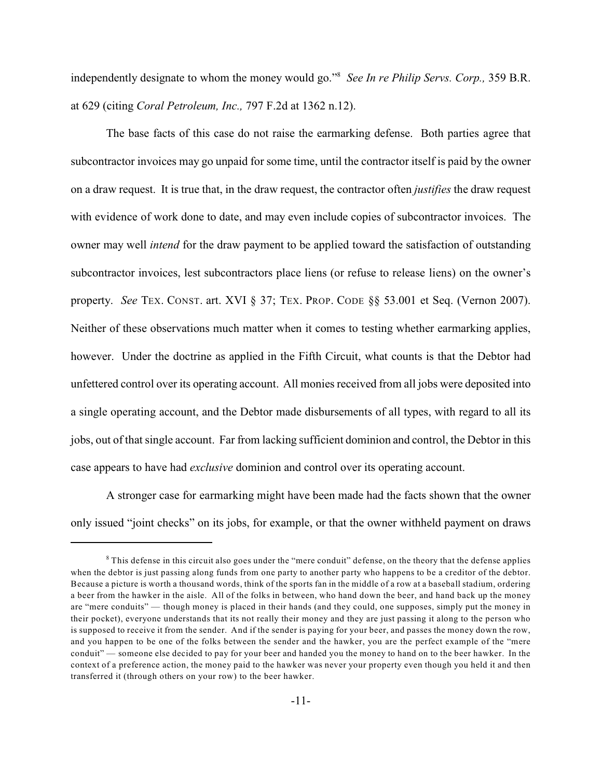independently designate to whom the money would go."<sup>8</sup> See In re Philip Servs. Corp., 359 B.R. at 629 (citing *Coral Petroleum, Inc.,* 797 F.2d at 1362 n.12).

The base facts of this case do not raise the earmarking defense. Both parties agree that subcontractor invoices may go unpaid for some time, until the contractor itself is paid by the owner on a draw request. It is true that, in the draw request, the contractor often *justifies* the draw request with evidence of work done to date, and may even include copies of subcontractor invoices. The owner may well *intend* for the draw payment to be applied toward the satisfaction of outstanding subcontractor invoices, lest subcontractors place liens (or refuse to release liens) on the owner's property. *See* TEX. CONST. art. XVI § 37; TEX. PROP. CODE §§ 53.001 et Seq. (Vernon 2007). Neither of these observations much matter when it comes to testing whether earmarking applies, however. Under the doctrine as applied in the Fifth Circuit, what counts is that the Debtor had unfettered control over its operating account. All monies received from all jobs were deposited into a single operating account, and the Debtor made disbursements of all types, with regard to all its jobs, out of that single account. Far from lacking sufficient dominion and control, the Debtor in this case appears to have had *exclusive* dominion and control over its operating account.

A stronger case for earmarking might have been made had the facts shown that the owner only issued "joint checks" on its jobs, for example, or that the owner withheld payment on draws

 $\delta$  This defense in this circuit also goes under the "mere conduit" defense, on the theory that the defense applies when the debtor is just passing along funds from one party to another party who happens to be a creditor of the debtor. Because a picture is worth a thousand words, think of the sports fan in the middle of a row at a baseball stadium, ordering a beer from the hawker in the aisle. All of the folks in between, who hand down the beer, and hand back up the money are "mere conduits" — though money is placed in their hands (and they could, one supposes, simply put the money in their pocket), everyone understands that its not really their money and they are just passing it along to the person who is supposed to receive it from the sender. And if the sender is paying for your beer, and passes the money down the row, and you happen to be one of the folks between the sender and the hawker, you are the perfect example of the "mere conduit" — someone else decided to pay for your beer and handed you the money to hand on to the beer hawker. In the context of a preference action, the money paid to the hawker was never your property even though you held it and then transferred it (through others on your row) to the beer hawker.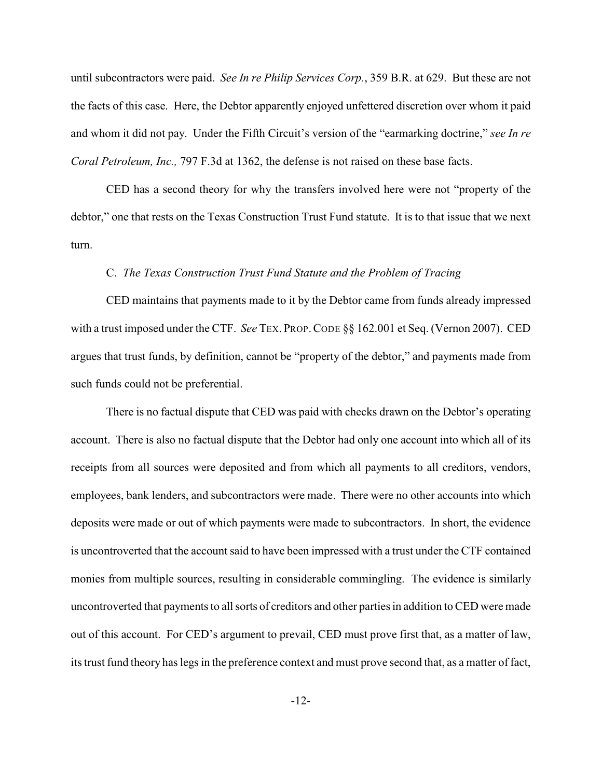until subcontractors were paid. *See In re Philip Services Corp.*, 359 B.R. at 629. But these are not the facts of this case. Here, the Debtor apparently enjoyed unfettered discretion over whom it paid and whom it did not pay. Under the Fifth Circuit's version of the "earmarking doctrine," *see In re Coral Petroleum, Inc.,* 797 F.3d at 1362, the defense is not raised on these base facts.

CED has a second theory for why the transfers involved here were not "property of the debtor," one that rests on the Texas Construction Trust Fund statute. It is to that issue that we next turn.

## C. *The Texas Construction Trust Fund Statute and the Problem of Tracing*

CED maintains that payments made to it by the Debtor came from funds already impressed with a trust imposed under the CTF. *See* TEX. PROP.CODE §§ 162.001 et Seq. (Vernon 2007). CED argues that trust funds, by definition, cannot be "property of the debtor," and payments made from such funds could not be preferential.

There is no factual dispute that CED was paid with checks drawn on the Debtor's operating account. There is also no factual dispute that the Debtor had only one account into which all of its receipts from all sources were deposited and from which all payments to all creditors, vendors, employees, bank lenders, and subcontractors were made. There were no other accounts into which deposits were made or out of which payments were made to subcontractors. In short, the evidence is uncontroverted that the account said to have been impressed with a trust under the CTF contained monies from multiple sources, resulting in considerable commingling. The evidence is similarly uncontroverted that payments to all sorts of creditors and other parties in addition to CED were made out of this account. For CED's argument to prevail, CED must prove first that, as a matter of law, its trust fund theory has legs in the preference context and must prove second that, as a matter of fact,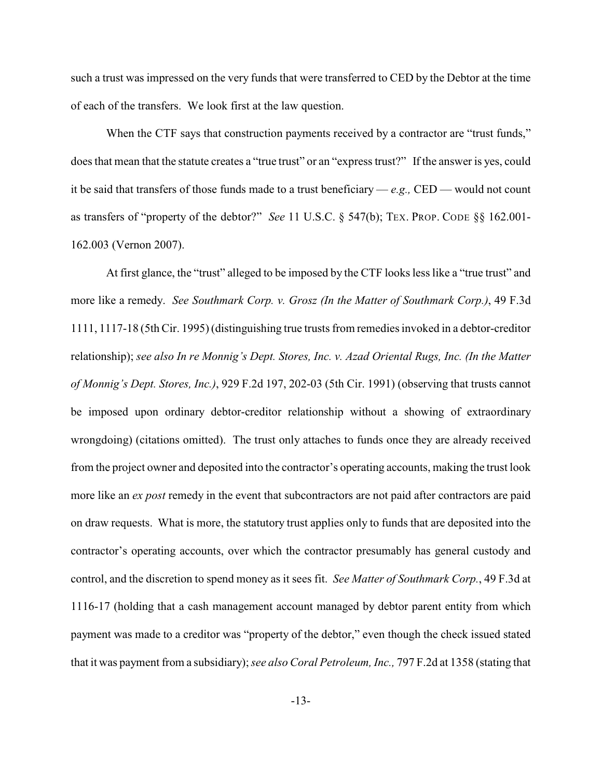such a trust was impressed on the very funds that were transferred to CED by the Debtor at the time of each of the transfers. We look first at the law question.

When the CTF says that construction payments received by a contractor are "trust funds," does that mean that the statute creates a "true trust" or an "express trust?" If the answer is yes, could it be said that transfers of those funds made to a trust beneficiary — *e.g.,* CED — would not count as transfers of "property of the debtor?" *See* 11 U.S.C. § 547(b); TEX. PROP. CODE §§ 162.001- 162.003 (Vernon 2007).

At first glance, the "trust" alleged to be imposed by the CTF looks less like a "true trust" and more like a remedy. *See Southmark Corp. v. Grosz (In the Matter of Southmark Corp.)*, 49 F.3d 1111, 1117-18 (5th Cir. 1995) (distinguishing true trusts from remedies invoked in a debtor-creditor relationship); *see also In re Monnig's Dept. Stores, Inc. v. Azad Oriental Rugs, Inc. (In the Matter of Monnig's Dept. Stores, Inc.)*, 929 F.2d 197, 202-03 (5th Cir. 1991) (observing that trusts cannot be imposed upon ordinary debtor-creditor relationship without a showing of extraordinary wrongdoing) (citations omitted). The trust only attaches to funds once they are already received from the project owner and deposited into the contractor's operating accounts, making the trust look more like an *ex post* remedy in the event that subcontractors are not paid after contractors are paid on draw requests. What is more, the statutory trust applies only to funds that are deposited into the contractor's operating accounts, over which the contractor presumably has general custody and control, and the discretion to spend money as it sees fit. *See Matter of Southmark Corp.*, 49 F.3d at 1116-17 (holding that a cash management account managed by debtor parent entity from which payment was made to a creditor was "property of the debtor," even though the check issued stated that it was payment from a subsidiary);*see also Coral Petroleum, Inc.,* 797 F.2d at 1358 (stating that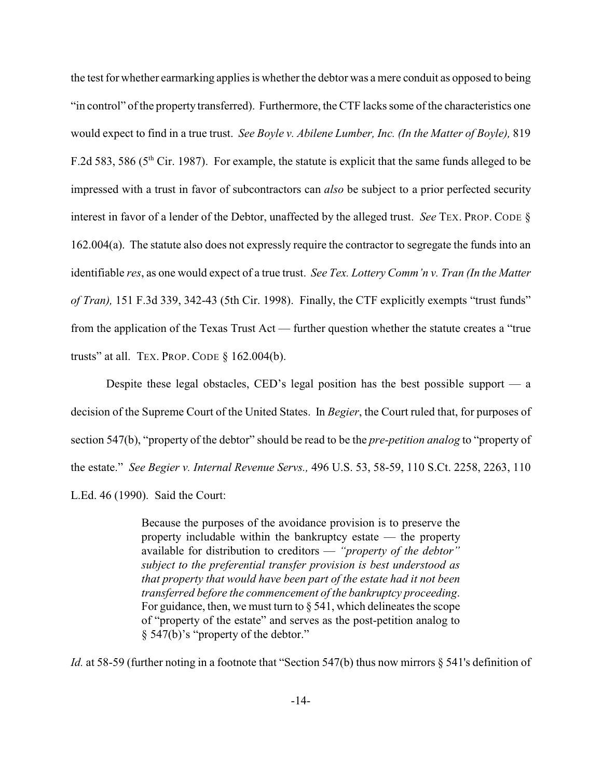the test for whether earmarking applies is whether the debtor was a mere conduit as opposed to being "in control" of the property transferred). Furthermore, the CTF lacks some of the characteristics one would expect to find in a true trust. *See Boyle v. Abilene Lumber, Inc. (In the Matter of Boyle),* 819 F.2d 583, 586 ( $5<sup>th</sup>$  Cir. 1987). For example, the statute is explicit that the same funds alleged to be impressed with a trust in favor of subcontractors can *also* be subject to a prior perfected security interest in favor of a lender of the Debtor, unaffected by the alleged trust. *See* TEX. PROP. CODE § 162.004(a). The statute also does not expressly require the contractor to segregate the funds into an identifiable *res*, as one would expect of a true trust. *See Tex. Lottery Comm'n v. Tran (In the Matter of Tran),* 151 F.3d 339, 342-43 (5th Cir. 1998). Finally, the CTF explicitly exempts "trust funds" from the application of the Texas Trust Act — further question whether the statute creates a "true trusts" at all. TEX. PROP. CODE § 162.004(b).

Despite these legal obstacles, CED's legal position has the best possible support  $-$  a decision of the Supreme Court of the United States. In *Begier*, the Court ruled that, for purposes of section 547(b), "property of the debtor" should be read to be the *pre-petition analog* to "property of the estate." *See Begier v. Internal Revenue Servs.,* 496 U.S. 53, 58-59, 110 S.Ct. 2258, 2263, 110 L.Ed. 46 (1990). Said the Court:

> Because the purposes of the avoidance provision is to preserve the property includable within the bankruptcy estate — the property available for distribution to creditors — *"property of the debtor" subject to the preferential transfer provision is best understood as that property that would have been part of the estate had it not been transferred before the commencement of the bankruptcy proceeding*. For guidance, then, we must turn to  $\S$  541, which delineates the scope of "property of the estate" and serves as the post-petition analog to § 547(b)'s "property of the debtor."

*Id.* at 58-59 (further noting in a footnote that "Section 547(b) thus now mirrors § 541's definition of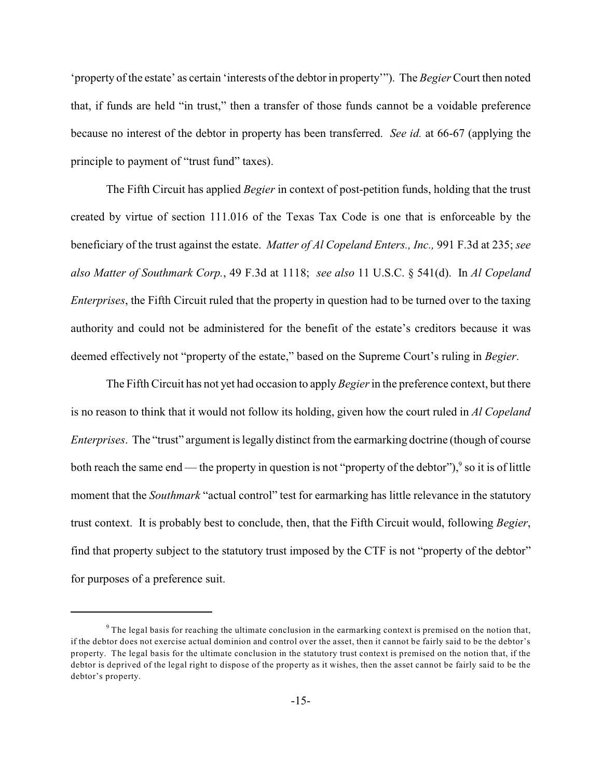'property of the estate' as certain 'interests ofthe debtor in property'"). The *Begier* Court then noted that, if funds are held "in trust," then a transfer of those funds cannot be a voidable preference because no interest of the debtor in property has been transferred. *See id.* at 66-67 (applying the principle to payment of "trust fund" taxes).

The Fifth Circuit has applied *Begier* in context of post-petition funds, holding that the trust created by virtue of section 111.016 of the Texas Tax Code is one that is enforceable by the beneficiary of the trust against the estate. *Matter of Al Copeland Enters., Inc.,* 991 F.3d at 235; *see also Matter of Southmark Corp.*, 49 F.3d at 1118; *see also* 11 U.S.C. § 541(d). In *Al Copeland Enterprises*, the Fifth Circuit ruled that the property in question had to be turned over to the taxing authority and could not be administered for the benefit of the estate's creditors because it was deemed effectively not "property of the estate," based on the Supreme Court's ruling in *Begier*.

The Fifth Circuit has not yet had occasion to apply *Begier* in the preference context, but there is no reason to think that it would not follow its holding, given how the court ruled in *Al Copeland Enterprises*. The "trust" argument is legally distinct from the earmarking doctrine (though of course both reach the same end — the property in question is not "property of the debtor"),  $\frac{9}{9}$  so it is of little moment that the *Southmark* "actual control" test for earmarking has little relevance in the statutory trust context. It is probably best to conclude, then, that the Fifth Circuit would, following *Begier*, find that property subject to the statutory trust imposed by the CTF is not "property of the debtor" for purposes of a preference suit.

 $9$  The legal basis for reaching the ultimate conclusion in the earmarking context is premised on the notion that, if the debtor does not exercise actual dominion and control over the asset, then it cannot be fairly said to be the debtor's property. The legal basis for the ultimate conclusion in the statutory trust context is premised on the notion that, if the debtor is deprived of the legal right to dispose of the property as it wishes, then the asset cannot be fairly said to be the debtor's property.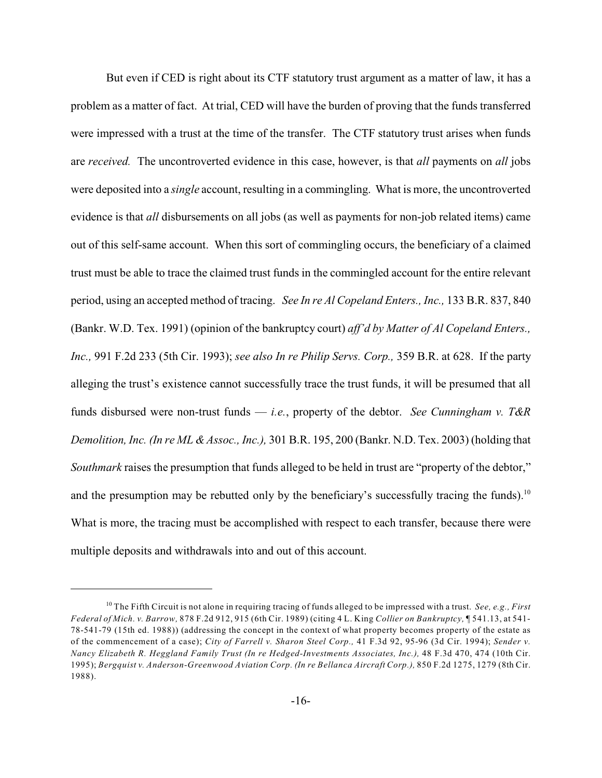But even if CED is right about its CTF statutory trust argument as a matter of law, it has a problem as a matter of fact. At trial, CED will have the burden of proving that the funds transferred were impressed with a trust at the time of the transfer. The CTF statutory trust arises when funds are *received.* The uncontroverted evidence in this case, however, is that *all* payments on *all* jobs were deposited into a *single* account, resulting in a commingling. What is more, the uncontroverted evidence is that *all* disbursements on all jobs (as well as payments for non-job related items) came out of this self-same account. When this sort of commingling occurs, the beneficiary of a claimed trust must be able to trace the claimed trust funds in the commingled account for the entire relevant period, using an accepted method of tracing. *See In re Al Copeland Enters., Inc.,* 133 B.R. 837, 840 (Bankr. W.D. Tex. 1991) (opinion of the bankruptcy court) *aff'd by Matter of Al Copeland Enters., Inc.,* 991 F.2d 233 (5th Cir. 1993); *see also In re Philip Servs. Corp.,* 359 B.R. at 628. If the party alleging the trust's existence cannot successfully trace the trust funds, it will be presumed that all funds disbursed were non-trust funds — *i.e.*, property of the debtor. *See Cunningham v. T&R Demolition, Inc. (In re ML & Assoc., Inc.),* 301 B.R. 195, 200 (Bankr. N.D. Tex. 2003) (holding that *Southmark* raises the presumption that funds alleged to be held in trust are "property of the debtor," and the presumption may be rebutted only by the beneficiary's successfully tracing the funds).<sup>10</sup> What is more, the tracing must be accomplished with respect to each transfer, because there were multiple deposits and withdrawals into and out of this account.

<sup>&</sup>lt;sup>10</sup> The Fifth Circuit is not alone in requiring tracing of funds alleged to be impressed with a trust. *See, e.g., First Federal of Mich. v. Barrow,* 878 F.2d 912, 915 (6th Cir. 1989) (citing 4 L. King *Collier on Bankruptcy,* ¶ 541.13, at 541- 78-541-79 (15th ed. 1988)) (addressing the concept in the context of what property becomes property of the estate as of the commencement of a case); *City of Farrell v. Sharon Steel Corp.,* 41 F.3d 92, 95-96 (3d Cir. 1994); *Sender v. Nancy Elizabeth R. Heggland Family Trust (In re Hedged-Investments Associates, Inc.),* 48 F.3d 470, 474 (10th Cir. 1995); *Bergquist v. Anderson-Greenwood Aviation Corp. (In re Bellanca Aircraft Corp.),* 850 F.2d 1275, 1279 (8th Cir. 1988).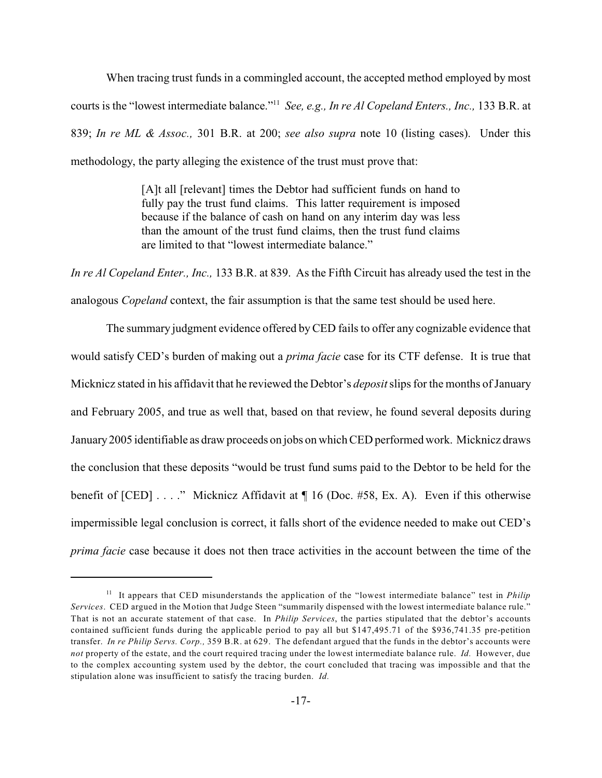When tracing trust funds in a commingled account, the accepted method employed by most courts is the "lowest intermediate balance."<sup>11</sup> See, e.g., In re Al Copeland Enters., Inc., 133 B.R. at 839; *In re ML & Assoc.,* 301 B.R. at 200; *see also supra* note 10 (listing cases). Under this methodology, the party alleging the existence of the trust must prove that:

> [A]t all [relevant] times the Debtor had sufficient funds on hand to fully pay the trust fund claims. This latter requirement is imposed because if the balance of cash on hand on any interim day was less than the amount of the trust fund claims, then the trust fund claims are limited to that "lowest intermediate balance."

*In re Al Copeland Enter., Inc.,* 133 B.R. at 839. As the Fifth Circuit has already used the test in the analogous *Copeland* context, the fair assumption is that the same test should be used here.

The summary judgment evidence offered byCED fails to offer any cognizable evidence that would satisfy CED's burden of making out a *prima facie* case for its CTF defense. It is true that Micknicz stated in his affidavit that he reviewed the Debtor's *deposit*slips for the months of January and February 2005, and true as well that, based on that review, he found several deposits during January 2005 identifiable as draw proceeds on jobs on which CED performed work. Micknicz draws the conclusion that these deposits "would be trust fund sums paid to the Debtor to be held for the benefit of [CED] . . . ." Micknicz Affidavit at  $\P$  16 (Doc. #58, Ex. A). Even if this otherwise impermissible legal conclusion is correct, it falls short of the evidence needed to make out CED's *prima facie* case because it does not then trace activities in the account between the time of the

<sup>&</sup>lt;sup>11</sup> It appears that CED misunderstands the application of the "lowest intermediate balance" test in *Philip Services*. CED argued in the Motion that Judge Steen "summarily dispensed with the lowest intermediate balance rule." That is not an accurate statement of that case. In *Philip Services*, the parties stipulated that the debtor's accounts contained sufficient funds during the applicable period to pay all but \$147,495.71 of the \$936,741.35 pre-petition transfer. *In re Philip Servs. Corp.,* 359 B.R. at 629. The defendant argued that the funds in the debtor's accounts were *not* property of the estate, and the court required tracing under the lowest intermediate balance rule. *Id.* However, due to the complex accounting system used by the debtor, the court concluded that tracing was impossible and that the stipulation alone was insufficient to satisfy the tracing burden. *Id.*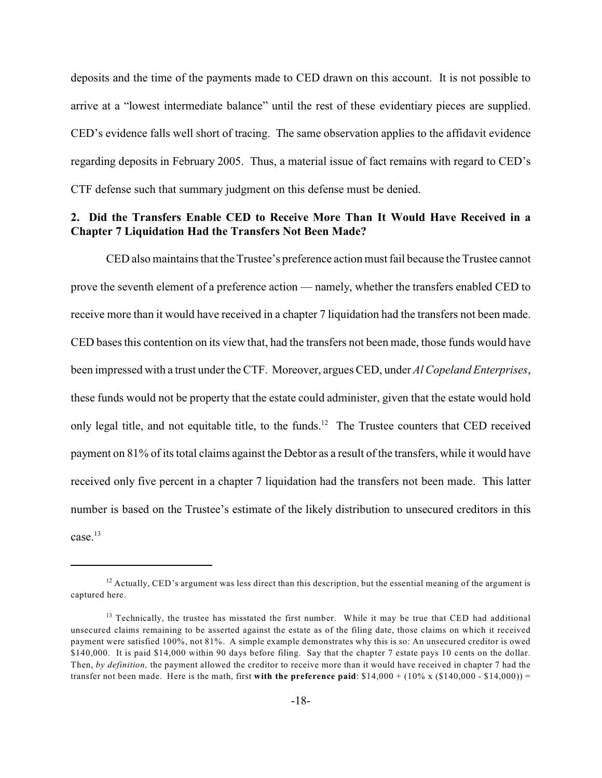deposits and the time of the payments made to CED drawn on this account. It is not possible to arrive at a "lowest intermediate balance" until the rest of these evidentiary pieces are supplied. CED's evidence falls well short of tracing. The same observation applies to the affidavit evidence regarding deposits in February 2005. Thus, a material issue of fact remains with regard to CED's CTF defense such that summary judgment on this defense must be denied.

## **2. Did the Transfers Enable CED to Receive More Than It Would Have Received in a Chapter 7 Liquidation Had the Transfers Not Been Made?**

CED also maintains that the Trustee's preference action must fail because the Trustee cannot prove the seventh element of a preference action — namely, whether the transfers enabled CED to receive more than it would have received in a chapter 7 liquidation had the transfers not been made. CED bases this contention on its view that, had the transfers not been made, those funds would have been impressed with a trust under the CTF. Moreover, argues CED, under *Al Copeland Enterprises*, these funds would not be property that the estate could administer, given that the estate would hold only legal title, and not equitable title, to the funds.<sup>12</sup> The Trustee counters that CED received payment on 81% of its total claims against the Debtor as a result of the transfers, while it would have received only five percent in a chapter 7 liquidation had the transfers not been made. This latter number is based on the Trustee's estimate of the likely distribution to unsecured creditors in this case. $13$ 

 $12$  Actually, CED's argument was less direct than this description, but the essential meaning of the argument is captured here.

 $13$  Technically, the trustee has misstated the first number. While it may be true that CED had additional unsecured claims remaining to be asserted against the estate as of the filing date, those claims on which it received payment were satisfied 100%, not 81%. A simple example demonstrates why this is so: An unsecured creditor is owed \$140,000. It is paid \$14,000 within 90 days before filing. Say that the chapter 7 estate pays 10 cents on the dollar. Then, *by definition,* the payment allowed the creditor to receive more than it would have received in chapter 7 had the transfer not been made. Here is the math, first **with the preference paid**:  $$14,000 + (10\% \times ($140,000 - $14,000)) =$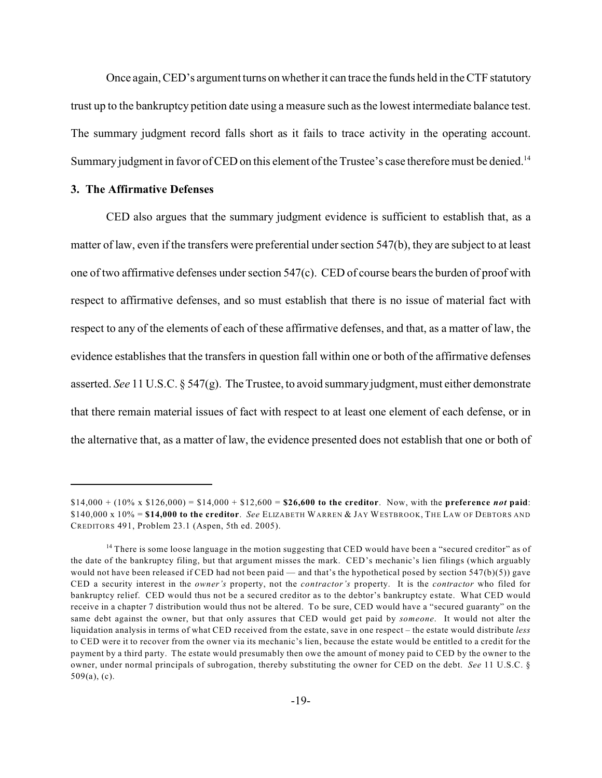Once again, CED's argument turns on whetherit can trace the funds held in the CTF statutory trust up to the bankruptcy petition date using a measure such as the lowest intermediate balance test. The summary judgment record falls short as it fails to trace activity in the operating account. Summary judgment in favor of CED on this element of the Trustee's case therefore must be denied.<sup>14</sup>

## **3. The Affirmative Defenses**

CED also argues that the summary judgment evidence is sufficient to establish that, as a matter of law, even if the transfers were preferential under section 547(b), they are subject to at least one of two affirmative defenses under section 547(c). CED of course bearsthe burden of proof with respect to affirmative defenses, and so must establish that there is no issue of material fact with respect to any of the elements of each of these affirmative defenses, and that, as a matter of law, the evidence establishes that the transfers in question fall within one or both of the affirmative defenses asserted. *See* 11 U.S.C. § 547(g). The Trustee, to avoid summary judgment, must either demonstrate that there remain material issues of fact with respect to at least one element of each defense, or in the alternative that, as a matter of law, the evidence presented does not establish that one or both of

<sup>\$14,000 + (10%</sup> x \$126,000) = \$14,000 + \$12,600 = **\$26,600 to the creditor**. Now, with the **preference** *not* **paid**: \$140,000 x 10% = **\$14,000 to the creditor**. *See* ELIZABETH WARREN & JAY WESTBROOK, THE LAW OF DEBTORS AND CREDITORS 491, Problem 23.1 (Aspen, 5th ed. 2005).

<sup>&</sup>lt;sup>14</sup> There is some loose language in the motion suggesting that CED would have been a "secured creditor" as of the date of the bankruptcy filing, but that argument misses the mark. CED's mechanic's lien filings (which arguably would not have been released if CED had not been paid — and that's the hypothetical posed by section 547(b)(5)) gave CED a security interest in the *owner's* property, not the *contractor's* property. It is the *contractor* who filed for bankruptcy relief. CED would thus not be a secured creditor as to the debtor's bankruptcy estate. What CED would receive in a chapter 7 distribution would thus not be altered. To be sure, CED would have a "secured guaranty" on the same debt against the owner, but that only assures that CED would get paid by *someone*. It would not alter the liquidation analysis in terms of what CED received from the estate, save in one respect – the estate would distribute *less* to CED were it to recover from the owner via its mechanic's lien, because the estate would be entitled to a credit for the payment by a third party. The estate would presumably then owe the amount of money paid to CED by the owner to the owner, under normal principals of subrogation, thereby substituting the owner for CED on the debt. *See* 11 U.S.C. § 509(a), (c).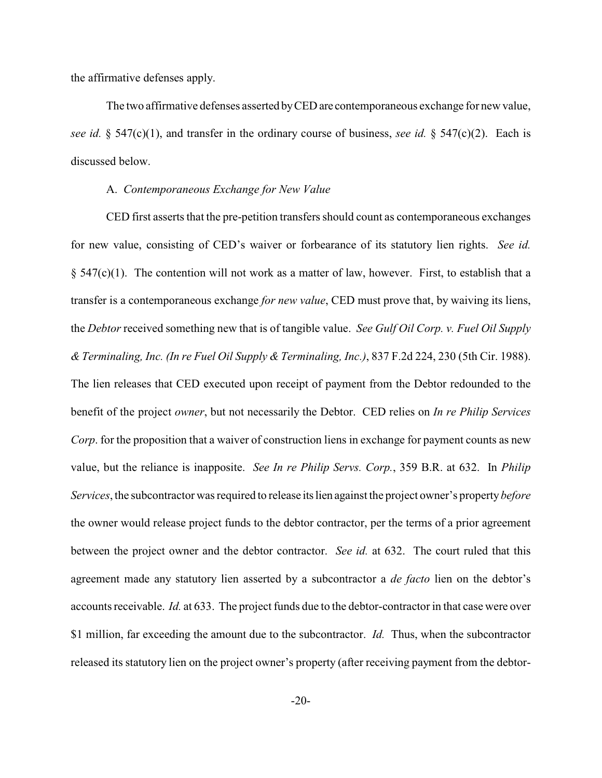the affirmative defenses apply.

The two affirmative defenses asserted by CED are contemporaneous exchange for new value, *see id.* § 547(c)(1), and transfer in the ordinary course of business, *see id.* § 547(c)(2). Each is discussed below.

## A. *Contemporaneous Exchange for New Value*

CED first asserts that the pre-petition transfers should count as contemporaneous exchanges for new value, consisting of CED's waiver or forbearance of its statutory lien rights. *See id.*  $\S$  547(c)(1). The contention will not work as a matter of law, however. First, to establish that a transfer is a contemporaneous exchange *for new value*, CED must prove that, by waiving its liens, the *Debtor* received something new that is of tangible value. *See Gulf Oil Corp. v. Fuel Oil Supply & Terminaling, Inc. (In re Fuel Oil Supply & Terminaling, Inc.)*, 837 F.2d 224, 230 (5th Cir. 1988). The lien releases that CED executed upon receipt of payment from the Debtor redounded to the benefit of the project *owner*, but not necessarily the Debtor. CED relies on *In re Philip Services Corp*. for the proposition that a waiver of construction liens in exchange for payment counts as new value, but the reliance is inapposite. *See In re Philip Servs. Corp.*, 359 B.R. at 632. In *Philip Services*, the subcontractor was required to release its lien against the project owner's property *before* the owner would release project funds to the debtor contractor, per the terms of a prior agreement between the project owner and the debtor contractor. *See id.* at 632. The court ruled that this agreement made any statutory lien asserted by a subcontractor a *de facto* lien on the debtor's accounts receivable. *Id.* at 633. The project funds due to the debtor-contractor in that case were over \$1 million, far exceeding the amount due to the subcontractor. *Id.* Thus, when the subcontractor released its statutory lien on the project owner's property (after receiving payment from the debtor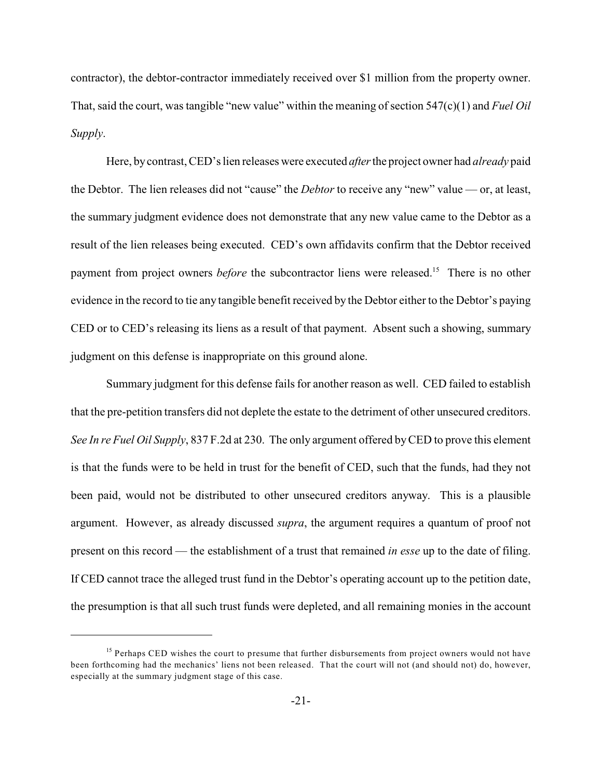contractor), the debtor-contractor immediately received over \$1 million from the property owner. That, said the court, was tangible "new value" within the meaning of section 547(c)(1) and *Fuel Oil Supply*.

Here, by contrast, CED's lien releases were executed *after* the project owner had *already* paid the Debtor. The lien releases did not "cause" the *Debtor* to receive any "new" value — or, at least, the summary judgment evidence does not demonstrate that any new value came to the Debtor as a result of the lien releases being executed. CED's own affidavits confirm that the Debtor received payment from project owners *before* the subcontractor liens were released.<sup>15</sup> There is no other evidence in the record to tie any tangible benefit received by the Debtor either to the Debtor's paying CED or to CED's releasing its liens as a result of that payment. Absent such a showing, summary judgment on this defense is inappropriate on this ground alone.

Summary judgment for this defense fails for another reason as well. CED failed to establish that the pre-petition transfers did not deplete the estate to the detriment of other unsecured creditors. *See In re Fuel Oil Supply*, 837 F.2d at 230. The only argument offered by CED to prove this element is that the funds were to be held in trust for the benefit of CED, such that the funds, had they not been paid, would not be distributed to other unsecured creditors anyway. This is a plausible argument. However, as already discussed *supra*, the argument requires a quantum of proof not present on this record — the establishment of a trust that remained *in esse* up to the date of filing. If CED cannot trace the alleged trust fund in the Debtor's operating account up to the petition date, the presumption is that all such trust funds were depleted, and all remaining monies in the account

 $<sup>15</sup>$  Perhaps CED wishes the court to presume that further disbursements from project owners would not have</sup> been forthcoming had the mechanics' liens not been released. That the court will not (and should not) do, however, especially at the summary judgment stage of this case.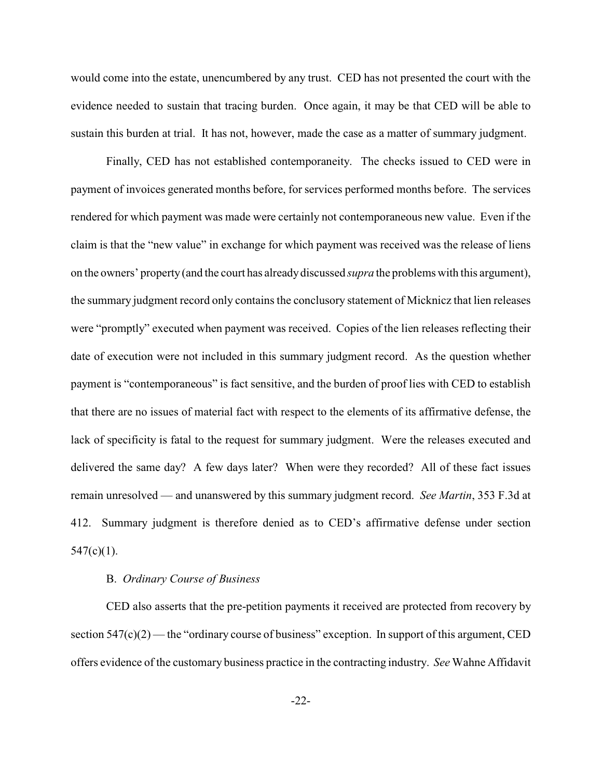would come into the estate, unencumbered by any trust. CED has not presented the court with the evidence needed to sustain that tracing burden. Once again, it may be that CED will be able to sustain this burden at trial. It has not, however, made the case as a matter of summary judgment.

Finally, CED has not established contemporaneity. The checks issued to CED were in payment of invoices generated months before, for services performed months before. The services rendered for which payment was made were certainly not contemporaneous new value. Even if the claim is that the "new value" in exchange for which payment was received was the release of liens on the owners' property (and the court has already discussed *supra* the problems with this argument), the summary judgment record only contains the conclusory statement of Micknicz that lien releases were "promptly" executed when payment was received. Copies of the lien releases reflecting their date of execution were not included in this summary judgment record. As the question whether payment is "contemporaneous" is fact sensitive, and the burden of proof lies with CED to establish that there are no issues of material fact with respect to the elements of its affirmative defense, the lack of specificity is fatal to the request for summary judgment. Were the releases executed and delivered the same day? A few days later? When were they recorded? All of these fact issues remain unresolved — and unanswered by this summary judgment record. *See Martin*, 353 F.3d at 412. Summary judgment is therefore denied as to CED's affirmative defense under section  $547(c)(1)$ .

#### B. *Ordinary Course of Business*

CED also asserts that the pre-petition payments it received are protected from recovery by section  $547(c)(2)$  — the "ordinary course of business" exception. In support of this argument, CED offers evidence of the customary business practice in the contracting industry. *See* Wahne Affidavit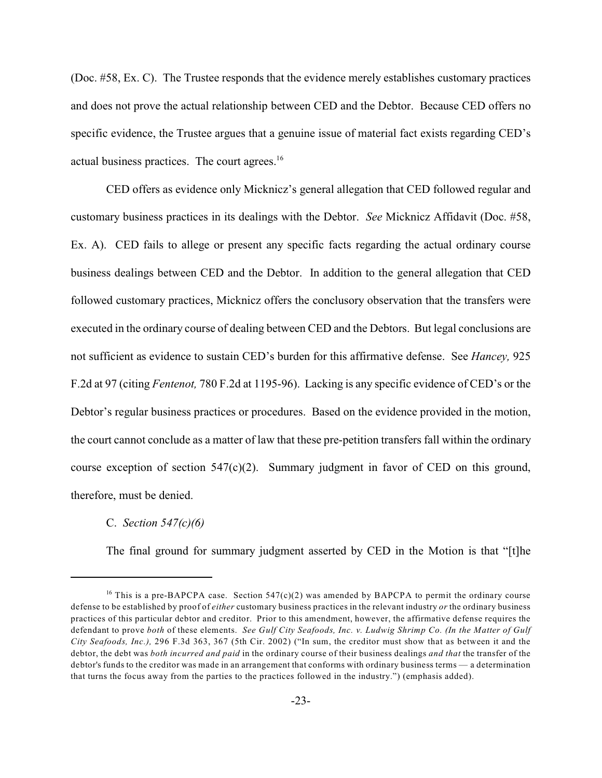(Doc. #58, Ex. C). The Trustee responds that the evidence merely establishes customary practices and does not prove the actual relationship between CED and the Debtor. Because CED offers no specific evidence, the Trustee argues that a genuine issue of material fact exists regarding CED's actual business practices. The court agrees.<sup>16</sup>

CED offers as evidence only Micknicz's general allegation that CED followed regular and customary business practices in its dealings with the Debtor. *See* Micknicz Affidavit (Doc. #58, Ex. A). CED fails to allege or present any specific facts regarding the actual ordinary course business dealings between CED and the Debtor. In addition to the general allegation that CED followed customary practices, Micknicz offers the conclusory observation that the transfers were executed in the ordinary course of dealing between CED and the Debtors. But legal conclusions are not sufficient as evidence to sustain CED's burden for this affirmative defense. See *Hancey,* 925 F.2d at 97 (citing *Fentenot,* 780 F.2d at 1195-96). Lacking is any specific evidence of CED's or the Debtor's regular business practices or procedures. Based on the evidence provided in the motion, the court cannot conclude as a matter of law that these pre-petition transfers fall within the ordinary course exception of section 547(c)(2). Summary judgment in favor of CED on this ground, therefore, must be denied.

#### C. *Section 547(c)(6)*

The final ground for summary judgment asserted by CED in the Motion is that "[t]he

<sup>&</sup>lt;sup>16</sup> This is a pre-BAPCPA case. Section 547(c)(2) was amended by BAPCPA to permit the ordinary course defense to be established by proof of *either* customary business practices in the relevant industry *or* the ordinary business practices of this particular debtor and creditor. Prior to this amendment, however, the affirmative defense requires the defendant to prove *both* of these elements. *See Gulf City Seafoods, Inc. v. Ludwig Shrimp Co. (In the Matter of Gulf City Seafoods, Inc.),* 296 F.3d 363, 367 (5th Cir. 2002) ("In sum, the creditor must show that as between it and the debtor, the debt was *both incurred and paid* in the ordinary course of their business dealings *and that* the transfer of the debtor's funds to the creditor was made in an arrangement that conforms with ordinary business terms — a determination that turns the focus away from the parties to the practices followed in the industry.") (emphasis added).